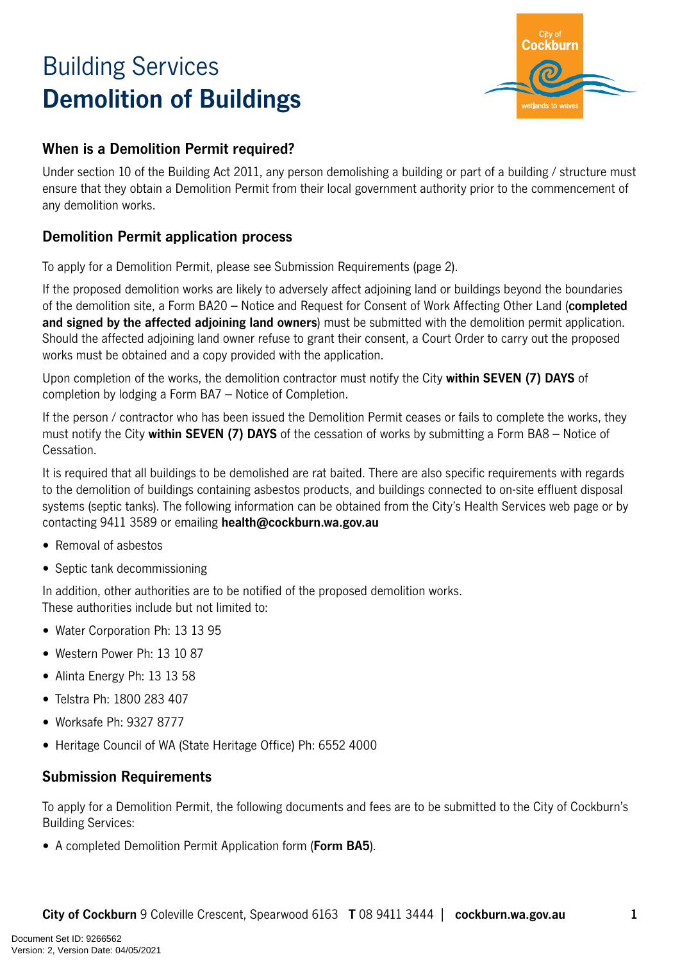# Building Services **Demolition of Buildings**



## **When is a Demolition Permit required?**

Under section 10 of the Building Act 2011, any person demolishing a building or part of a building / structure must ensure that they obtain a Demolition Permit from their local government authority prior to the commencement of any demolition works.

## **Demolition Permit application process**

To apply for a Demolition Permit, please see Submission Requirements (page 2).

If the proposed demolition works are likely to adversely affect adjoining land or buildings beyond the boundaries of the demolition site, a Form BA20 – Notice and Request for Consent of Work Affecting Other Land (**completed and signed by the affected adjoining land owners**) must be submitted with the demolition permit application. Should the affected adjoining land owner refuse to grant their consent, a Court Order to carry out the proposed works must be obtained and a copy provided with the application.

Upon completion of the works, the demolition contractor must notify the City **within SEVEN (7) DAYS** of completion by lodging a Form BA7 – Notice of Completion.

If the person / contractor who has been issued the Demolition Permit ceases or fails to complete the works, they must notify the City **within SEVEN (7) DAYS** of the cessation of works by submitting a Form BA8 – Notice of Cessation.

It is required that all buildings to be demolished are rat baited. There are also specific requirements with regards to the demolition of buildings containing asbestos products, and buildings connected to on-site effluent disposal systems (septic tanks). The following information can be obtained from the City's Health Services web page or by contacting 9411 3589 or emailing **health@cockburn.wa.gov.au**

- Removal of asbestos
- Septic tank decommissioning

In addition, other authorities are to be notified of the proposed demolition works. These authorities include but not limited to:

- Water Corporation Ph: 13 13 95
- Western Power Ph: 13 10 87
- Alinta Energy Ph: 13 13 58
- Telstra Ph: 1800 283 407
- Worksafe Ph: 9327 8777
- Heritage Council of WA (State Heritage Office) Ph: 6552 4000

### **Submission Requirements**

To apply for a Demolition Permit, the following documents and fees are to be submitted to the City of Cockburn's Building Services:

• A completed Demolition Permit Application form (**Form BA5**).